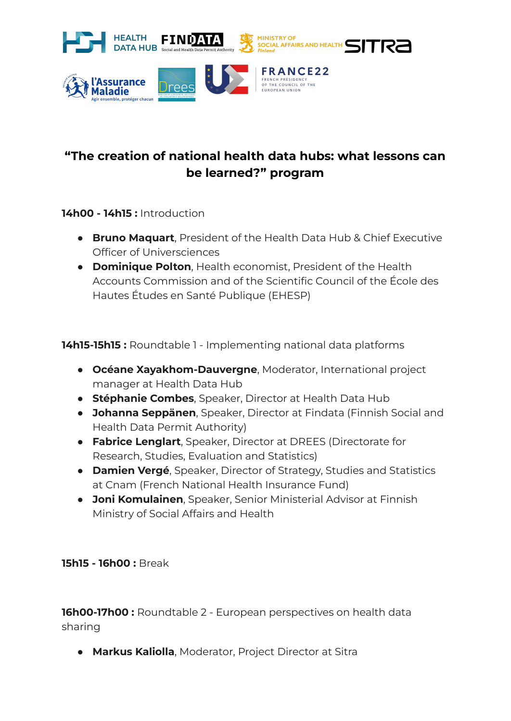

## **"The creation of national health data hubs: what lessons can be learned?" program**

## **14h00 - 14h15 :** Introduction

aladie

- **Bruno Maquart**, President of the Health Data Hub & Chief Executive Officer of Universciences
- **Dominique Polton**, Health economist, President of the Health Accounts Commission and of the Scientific Council of the École des Hautes Études en Santé Publique (EHESP)

**14h15-15h15 :** Roundtable 1 - Implementing national data platforms

- **Océane Xayakhom-Dauvergne**, Moderator, International project manager at Health Data Hub
- **Stéphanie Combes**, Speaker, Director at Health Data Hub
- **Johanna Seppänen**, Speaker, Director at Findata (Finnish Social and Health Data Permit Authority)
- **Fabrice Lenglart**, Speaker, Director at DREES (Directorate for Research, Studies, Evaluation and Statistics)
- **Damien Vergé**, Speaker, Director of Strategy, Studies and Statistics at Cnam (French National Health Insurance Fund)
- **Joni Komulainen**, Speaker, Senior Ministerial Advisor at Finnish Ministry of Social Affairs and Health

## **15h15 - 16h00 :** Break

**16h00-17h00 :** Roundtable 2 - European perspectives on health data sharing

● **Markus Kaliolla**, Moderator, Project Director at Sitra